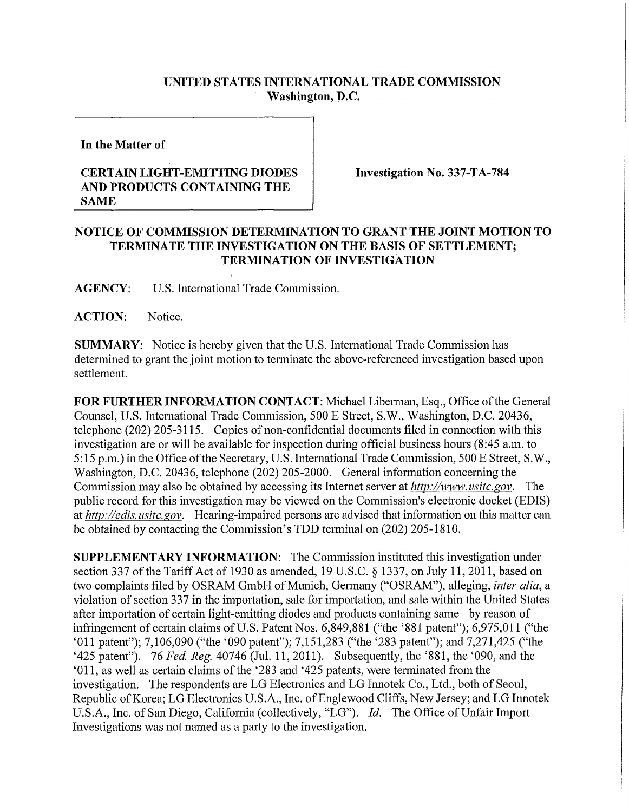## **UNITED STATES INTERNATIONAL TRADE COMMISSION Washington, D.C.**

**In the Matter of** 

## **CERTAIN LIGHT-EMITTING DIODES AND PRODUCTS CONTAINING THE SAME**

**Investigation No. 337-TA-784** 

## **NOTICE OF COMMISSION DETERMINATION TO GRANT THE JOINT MOTION TO TERMINATE THE INVESTIGATION ON THE BASIS OF SETTLEMENT; TERMINATION OF INVESTIGATION**

**AGENCY:** U**.S.** International Trade Commission.

**ACTION:** Notice.

**SUMMARY:** Notice is hereby given that the **U.S.** International Trade Commission has determined to grant the joint motion to terminate the above-referenced investigation based upon settlement.

**FOR FURTHER INFORMATION CONTACT:** Michael Liberman, Esq., Office of the General Counsel, U.S. International Trade Commission, 500 E Street, S.W., Washington, D.C. 20436, telephone (202) 205-3115. Copies of non-confidential documents filed in connection with this investigation are or will be available for inspection during official business hours (8:45 a.m. to 5:15 p.m.) in the Office of the Secretary, U.S. International Trade Commission, 500 E Street, S.W., Washington, D.C. 20436, telephone (202) 205-2000. General information concerning the Commission may also be obtained by accessing its Internet server at *http://www. usitc. gov.* The public record for this investigation may be viewed on the Commission's electronic docket (EDIS) at *http://edis. usitc.gov.* Hearing-impaired persons are advised that information on this matter can be obtained by contacting the Commission's TDD terminal on (202) 205-1810.

**SUPPLEMENTARY INFORMATION:** The Commission instituted this investigation under section 337 of the Tariff Act of 1930 as amended, 19 U.S.C. § 1337, on July 11, 2011, based on two complaints filed by OSRAM GmbH of Munich, Germany ("OSRAM"), alleging, *inter alia,* a violation of section 337 in the importation, sale for importation, and sale within the United States after importation of certain light-emitting diodes and products containing same by reason of infringement of certain claims of U.S. Patent Nos. 6,849,881 ("the '881 patent"); 6,975,01**1** ("the '011 patent"); 7,106,090 ("the '090 patent"); 7,151,283 ("the '283 patent"); and 7,271,425 ("the '425 patent"). 76 *Fed. Reg.* 40746 (Jul. 11,2011). Subsequently, the '881, the '090, and the '011, as well as certain claims of the '283 and '425 patents, were terminated from the investigation. The respondents are LG Electronics and LG Innotek Co., Ltd., both of Seoul, Republic of Korea; LG Electronics U.S.A., Inc. of Englewood Cliffs, New Jersey; and LG Innotek U.S.A., Inc. of San Diego, California (collectively, "LG"). *Id.* The Office of Unfair Import Investigations was not named as a party to the investigation.